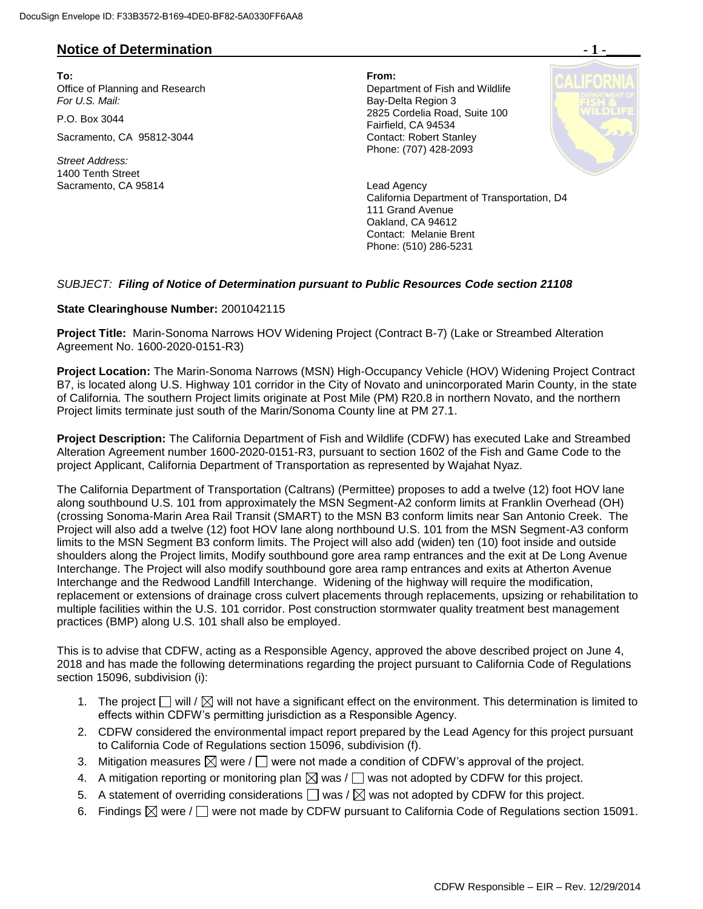## **Notice of Determination - 1 -\_\_\_\_\_**

**To: From:**  Office of Planning and Research **Department of Fish and Wildlife**<br>
For U.S. Mail: **Department of Fish and Wildlife** 

Sacramento, CA 95812-3044 Contact: Robert Stanley

*Street Address:* 1400 Tenth Street Sacramento, CA 95814 **Lead Agency** Lead Agency

**Bay-Delta Region 3** P.O. Box 3044 2825 Cordelia Road, Suite 100 Fairfield, CA 94534 Phone: (707) 428-2093



California Department of Transportation, D4 111 Grand Avenue Oakland, CA 94612 Contact: Melanie Brent Phone: (510) 286-5231

## *SUBJECT: Filing of Notice of Determination pursuant to Public Resources Code section 21108*

## **State Clearinghouse Number:** 2001042115

**Project Title:** Marin-Sonoma Narrows HOV Widening Project (Contract B-7) (Lake or Streambed Alteration Agreement No. 1600-2020-0151-R3)

**Project Location:** The Marin-Sonoma Narrows (MSN) High-Occupancy Vehicle (HOV) Widening Project Contract B7, is located along U.S. Highway 101 corridor in the City of Novato and unincorporated Marin County, in the state of California. The southern Project limits originate at Post Mile (PM) R20.8 in northern Novato, and the northern Project limits terminate just south of the Marin/Sonoma County line at PM 27.1.

**Project Description:** The California Department of Fish and Wildlife (CDFW) has executed Lake and Streambed Alteration Agreement number 1600-2020-0151-R3, pursuant to section 1602 of the Fish and Game Code to the project Applicant, California Department of Transportation as represented by Wajahat Nyaz.

The California Department of Transportation (Caltrans) (Permittee) proposes to add a twelve (12) foot HOV lane along southbound U.S. 101 from approximately the MSN Segment-A2 conform limits at Franklin Overhead (OH) (crossing Sonoma-Marin Area Rail Transit (SMART) to the MSN B3 conform limits near San Antonio Creek. The Project will also add a twelve (12) foot HOV lane along northbound U.S. 101 from the MSN Segment-A3 conform limits to the MSN Segment B3 conform limits. The Project will also add (widen) ten (10) foot inside and outside shoulders along the Project limits, Modify southbound gore area ramp entrances and the exit at De Long Avenue Interchange. The Project will also modify southbound gore area ramp entrances and exits at Atherton Avenue Interchange and the Redwood Landfill Interchange. Widening of the highway will require the modification, replacement or extensions of drainage cross culvert placements through replacements, upsizing or rehabilitation to multiple facilities within the U.S. 101 corridor. Post construction stormwater quality treatment best management practices (BMP) along U.S. 101 shall also be employed.

This is to advise that CDFW, acting as a Responsible Agency, approved the above described project on June 4, 2018 and has made the following determinations regarding the project pursuant to California Code of Regulations section 15096, subdivision (i):

- 1. The project  $\Box$  will  $\Box$  will not have a significant effect on the environment. This determination is limited to effects within CDFW's permitting jurisdiction as a Responsible Agency.
- 2. CDFW considered the environmental impact report prepared by the Lead Agency for this project pursuant to California Code of Regulations section 15096, subdivision (f).
- 3. Mitigation measures  $\boxtimes$  were /  $\Box$  were not made a condition of CDFW's approval of the project.
- 4. A mitigation reporting or monitoring plan  $\boxtimes$  was  $/\Box$  was not adopted by CDFW for this project.
- 5. A statement of overriding considerations  $\Box$  was /  $\boxtimes$  was not adopted by CDFW for this project.
- 6. Findings  $\boxtimes$  were /  $\Box$  were not made by CDFW pursuant to California Code of Regulations section 15091.